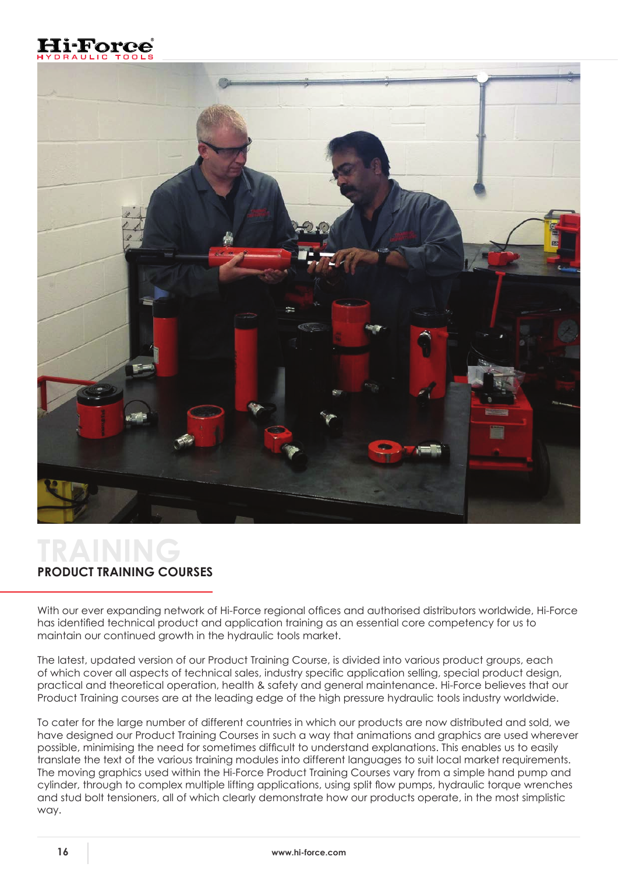



## **TRAINING PRODUCT TRAINING COURSES**

With our ever expanding network of Hi-Force regional offices and authorised distributors worldwide, Hi-Force has identified technical product and application training as an essential core competency for us to maintain our continued growth in the hydraulic tools market.

The latest, updated version of our Product Training Course, is divided into various product groups, each of which cover all aspects of technical sales, industry specific application selling, special product design, practical and theoretical operation, health & safety and general maintenance. Hi-Force believes that our Product Training courses are at the leading edge of the high pressure hydraulic tools industry worldwide.

To cater for the large number of different countries in which our products are now distributed and sold, we have designed our Product Training Courses in such a way that animations and graphics are used wherever possible, minimising the need for sometimes difficult to understand explanations. This enables us to easily translate the text of the various training modules into different languages to suit local market requirements. The moving graphics used within the Hi-Force Product Training Courses vary from a simple hand pump and cylinder, through to complex multiple lifting applications, using split flow pumps, hydraulic torque wrenches and stud bolt tensioners, all of which clearly demonstrate how our products operate, in the most simplistic way.